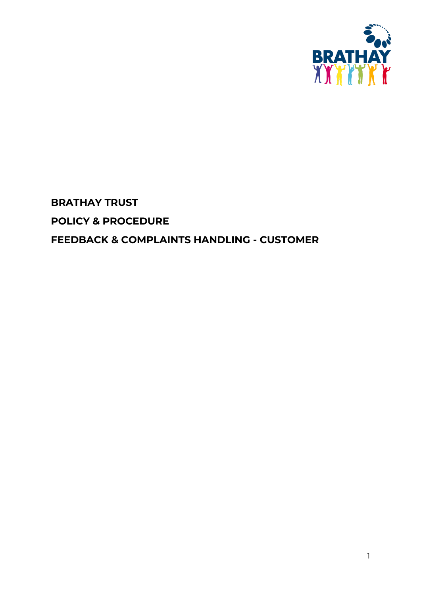

# **BRATHAY TRUST POLICY & PROCEDURE FEEDBACK & COMPLAINTS HANDLING - CUSTOMER**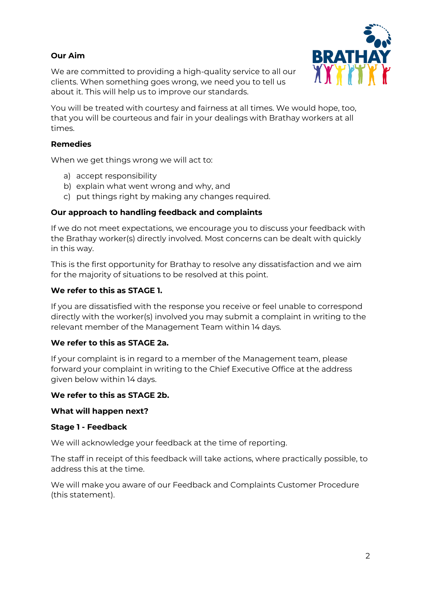# **Our Aim**



We are committed to providing a high-quality service to all our clients. When something goes wrong, we need you to tell us about it. This will help us to improve our standards.

You will be treated with courtesy and fairness at all times. We would hope, too, that you will be courteous and fair in your dealings with Brathay workers at all times.

#### **Remedies**

When we get things wrong we will act to:

- a) accept responsibility
- b) explain what went wrong and why, and
- c) put things right by making any changes required.

#### **Our approach to handling feedback and complaints**

If we do not meet expectations, we encourage you to discuss your feedback with the Brathay worker(s) directly involved. Most concerns can be dealt with quickly in this way.

This is the first opportunity for Brathay to resolve any dissatisfaction and we aim for the majority of situations to be resolved at this point.

## **We refer to this as STAGE 1.**

If you are dissatisfied with the response you receive or feel unable to correspond directly with the worker(s) involved you may submit a complaint in writing to the relevant member of the Management Team within 14 days.

#### **We refer to this as STAGE 2a.**

If your complaint is in regard to a member of the Management team, please forward your complaint in writing to the Chief Executive Office at the address given below within 14 days.

#### **We refer to this as STAGE 2b.**

#### **What will happen next?**

#### **Stage 1 - Feedback**

We will acknowledge your feedback at the time of reporting.

The staff in receipt of this feedback will take actions, where practically possible, to address this at the time.

We will make you aware of our Feedback and Complaints Customer Procedure (this statement).